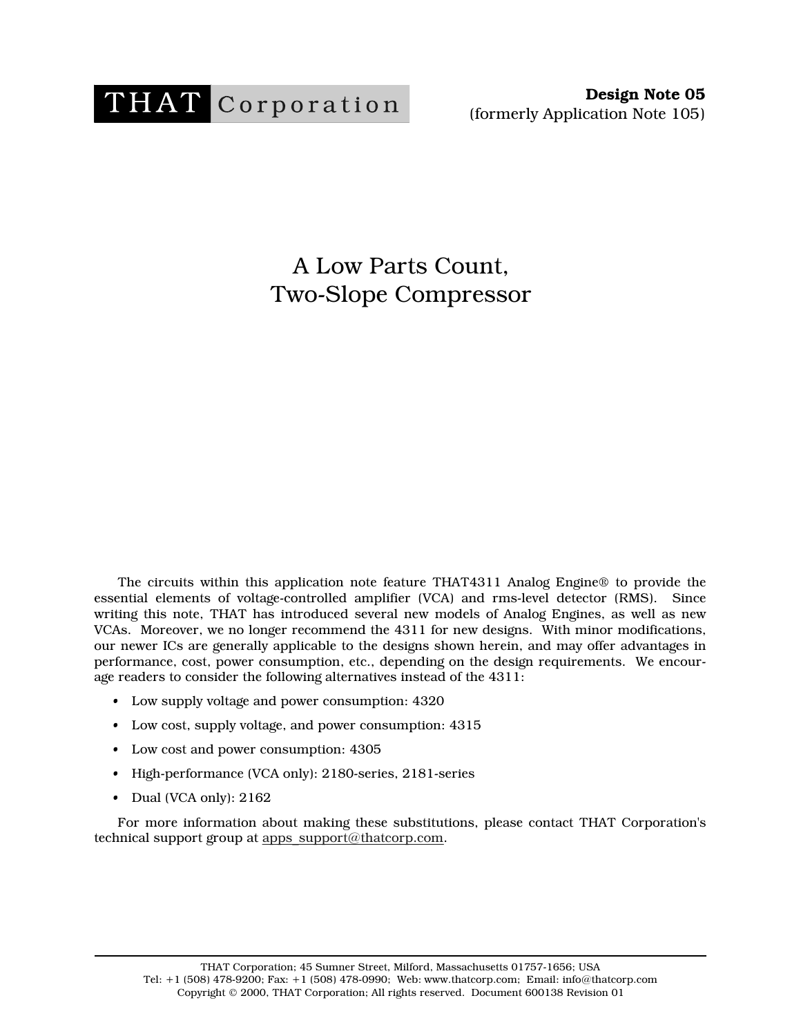

A Low Parts Count, Two-Slope Compressor

The circuits within this application note feature THAT4311 Analog Engine® to provide the essential elements of voltage-controlled amplifier (VCA) and rms-level detector (RMS). Since writing this note, THAT has introduced several new models of Analog Engines, as well as new VCAs. Moreover, we no longer recommend the 4311 for new designs. With minor modifications, our newer ICs are generally applicable to the designs shown herein, and may offer advantages in performance, cost, power consumption, etc., depending on the design requirements. We encourage readers to consider the following alternatives instead of the 4311:

- Low supply voltage and power consumption: 4320
- Low cost, supply voltage, and power consumption: 4315
- Low cost and power consumption: 4305
- High-performance (VCA only): 2180-series, 2181-series
- Dual (VCA only): 2162

For more information about making these substitutions, please contact THAT Corporation's technical support group at apps\_support@thatcorp.com.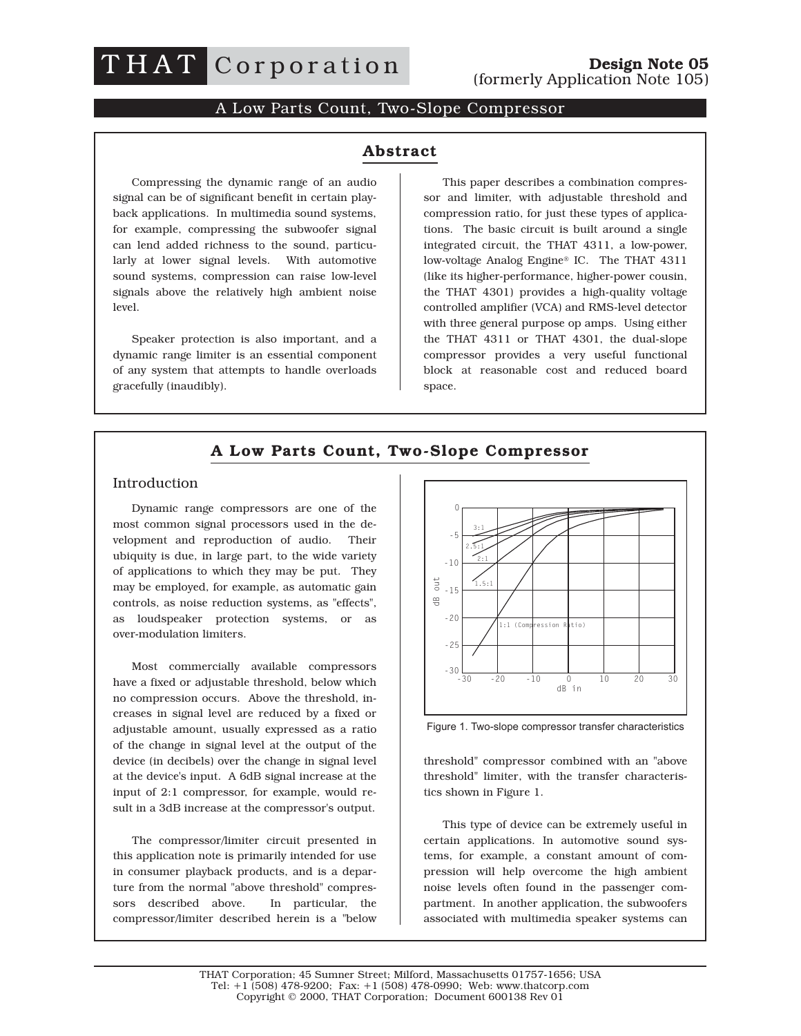

# A Low Parts Count, Two-Slope Compressor

#### **Abstract Abstract**

Compressing the dynamic range of an audio signal can be of significant benefit in certain playback applications. In multimedia sound systems, for example, compressing the subwoofer signal can lend added richness to the sound, particularly at lower signal levels. With automotive sound systems, compression can raise low-level signals above the relatively high ambient noise level.

Speaker protection is also important, and a dynamic range limiter is an essential component of any system that attempts to handle overloads gracefully (inaudibly).

This paper describes a combination compressor and limiter, with adjustable threshold and compression ratio, for just these types of applications. The basic circuit is built around a single integrated circuit, the THAT 4311, a low-power, low-voltage Analog Engine® IC. The THAT 4311 (like its higher-performance, higher-power cousin, the THAT 4301) provides a high-quality voltage controlled amplifier (VCA) and RMS-level detector with three general purpose op amps. Using either the THAT 4311 or THAT 4301, the dual-slope compressor provides a very useful functional block at reasonable cost and reduced board space.

## **A Low Parts Count, Two-Slope Compressor**

#### Introduction

Dynamic range compressors are one of the most common signal processors used in the development and reproduction of audio. Their ubiquity is due, in large part, to the wide variety of applications to which they may be put. They may be employed, for example, as automatic gain controls, as noise reduction systems, as "effects", as loudspeaker protection systems, or as over-modulation limiters.

Most commercially available compressors have a fixed or adjustable threshold, below which no compression occurs. Above the threshold, increases in signal level are reduced by a fixed or adjustable amount, usually expressed as a ratio of the change in signal level at the output of the device (in decibels) over the change in signal level at the device's input. A 6dB signal increase at the input of 2:1 compressor, for example, would result in a 3dB increase at the compressor's output.

The compressor/limiter circuit presented in this application note is primarily intended for use in consumer playback products, and is a departure from the normal "above threshold" compressors described above. In particular, the compressor/limiter described herein is a "below



Figure 1. Two-slope compressor transfer characteristics

threshold" compressor combined with an "above threshold" limiter, with the transfer characteristics shown in Figure 1.

This type of device can be extremely useful in certain applications. In automotive sound systems, for example, a constant amount of compression will help overcome the high ambient noise levels often found in the passenger compartment. In another application, the subwoofers associated with multimedia speaker systems can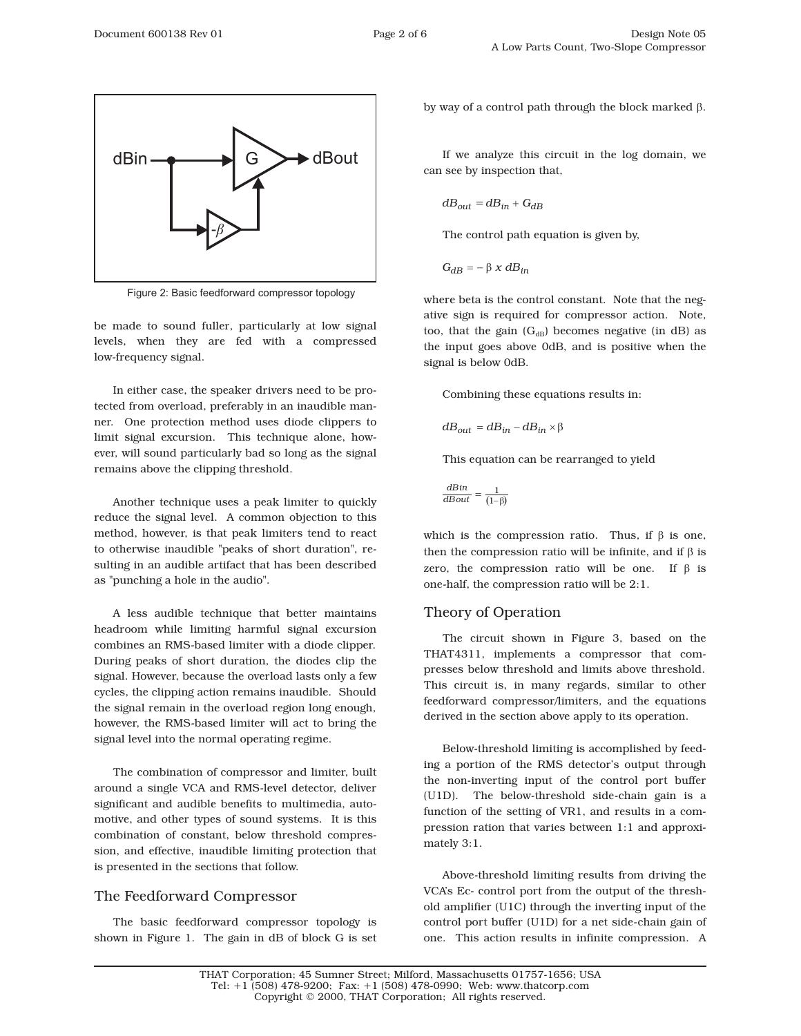

Figure 2: Basic feedforward compressor topology

be made to sound fuller, particularly at low signal levels, when they are fed with a compressed low-frequency signal.

In either case, the speaker drivers need to be protected from overload, preferably in an inaudible manner. One protection method uses diode clippers to limit signal excursion. This technique alone, however, will sound particularly bad so long as the signal remains above the clipping threshold.

Another technique uses a peak limiter to quickly reduce the signal level. A common objection to this method, however, is that peak limiters tend to react to otherwise inaudible "peaks of short duration", resulting in an audible artifact that has been described as "punching a hole in the audio".

A less audible technique that better maintains headroom while limiting harmful signal excursion combines an RMS-based limiter with a diode clipper. During peaks of short duration, the diodes clip the signal. However, because the overload lasts only a few cycles, the clipping action remains inaudible. Should the signal remain in the overload region long enough, however, the RMS-based limiter will act to bring the signal level into the normal operating regime.

The combination of compressor and limiter, built around a single VCA and RMS-level detector, deliver significant and audible benefits to multimedia, automotive, and other types of sound systems. It is this combination of constant, below threshold compression, and effective, inaudible limiting protection that is presented in the sections that follow.

# The Feedforward Compressor

The basic feedforward compressor topology is shown in Figure 1. The gain in dB of block G is set by way of a control path through the block marked  $\beta$ .

If we analyze this circuit in the log domain, we can see by inspection that,

$$
dB_{out} = dB_{in} + G_{dB}
$$

The control path equation is given by,

 $G_{dB} = -\beta x dB_{in}$ 

where beta is the control constant. Note that the negative sign is required for compressor action. Note, too, that the gain  $(G<sub>dB</sub>)$  becomes negative (in dB) as the input goes above 0dB, and is positive when the signal is below 0dB.

Combining these equations results in:

$$
dB_{out} = dB_{in} - dB_{in} \times \beta
$$

This equation can be rearranged to yield

$$
\frac{dBin}{dBout} = \frac{1}{(1-\beta)}
$$

which is the compression ratio. Thus, if  $\beta$  is one, then the compression ratio will be infinite, and if  $\beta$  is zero, the compression ratio will be one. If  $\beta$  is one-half, the compression ratio will be 2:1.

# Theory of Operation

The circuit shown in Figure 3, based on the THAT4311, implements a compressor that compresses below threshold and limits above threshold. This circuit is, in many regards, similar to other feedforward compressor/limiters, and the equations derived in the section above apply to its operation.

Below-threshold limiting is accomplished by feeding a portion of the RMS detector's output through the non-inverting input of the control port buffer (U1D). The below-threshold side-chain gain is a function of the setting of VR1, and results in a compression ration that varies between 1:1 and approximately 3:1.

Above-threshold limiting results from driving the VCA's Ec- control port from the output of the threshold amplifier (U1C) through the inverting input of the control port buffer (U1D) for a net side-chain gain of one. This action results in infinite compression. A

THAT Corporation; 45 Sumner Street; Milford, Massachusetts 01757-1656; USA Tel: +1 (508) 478-9200; Fax: +1 (508) 478-0990; Web: www.thatcorp.com Copyright © 2000, THAT Corporation; All rights reserved.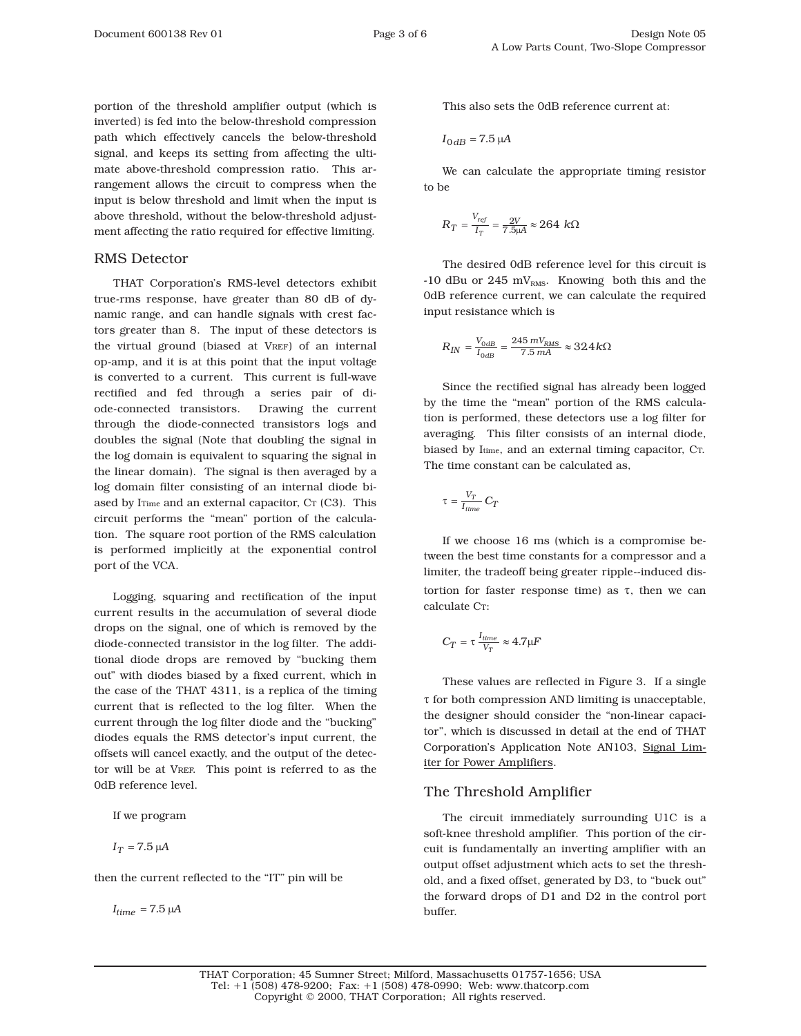portion of the threshold amplifier output (which is inverted) is fed into the below-threshold compression path which effectively cancels the below-threshold signal, and keeps its setting from affecting the ultimate above-threshold compression ratio. This arrangement allows the circuit to compress when the input is below threshold and limit when the input is above threshold, without the below-threshold adjustment affecting the ratio required for effective limiting.

#### RMS Detector

THAT Corporation's RMS-level detectors exhibit true-rms response, have greater than 80 dB of dynamic range, and can handle signals with crest factors greater than 8. The input of these detectors is the virtual ground (biased at VREF) of an internal op-amp, and it is at this point that the input voltage is converted to a current. This current is full-wave rectified and fed through a series pair of diode-connected transistors. Drawing the current through the diode-connected transistors logs and doubles the signal (Note that doubling the signal in the log domain is equivalent to squaring the signal in the linear domain). The signal is then averaged by a log domain filter consisting of an internal diode biased by I<sub>Time</sub> and an external capacitor, C<sub>T</sub> (C3). This circuit performs the "mean" portion of the calculation. The square root portion of the RMS calculation is performed implicitly at the exponential control port of the VCA.

Logging, squaring and rectification of the input current results in the accumulation of several diode drops on the signal, one of which is removed by the diode-connected transistor in the log filter. The additional diode drops are removed by "bucking them out" with diodes biased by a fixed current, which in the case of the THAT 4311, is a replica of the timing current that is reflected to the log filter. When the current through the log filter diode and the "bucking" diodes equals the RMS detector's input current, the offsets will cancel exactly, and the output of the detector will be at VREF. This point is referred to as the 0dB reference level.

If we program

$$
I_T = 7.5 \, \mu A
$$

then the current reflected to the "IT" pin will be

 $I_{time} = 7.5 \mu A$ 

This also sets the 0dB reference current at:

$$
I_{0\,dB} = 7.5\,\mu\text{A}
$$

We can calculate the appropriate timing resistor to be

$$
R_T = \frac{V_{ref}}{I_T} = \frac{2V}{7.5 \mu A} \approx 264 \ k\Omega
$$

The desired 0dB reference level for this circuit is -10 dBu or 245 mV $_{RMS}$ . Knowing both this and the 0dB reference current, we can calculate the required input resistance which is

$$
R_{IN}=\frac{V_{0dB}}{I_{0dB}}=\frac{245\ mV_{RMS}}{7.5\ mA}\approx 324\ k\Omega
$$

Since the rectified signal has already been logged by the time the "mean" portion of the RMS calculation is performed, these detectors use a log filter for averaging. This filter consists of an internal diode, biased by Itime, and an external timing capacitor, CT. The time constant can be calculated as,

$$
\tau = \frac{V_T}{I_{time}} C_T
$$

If we choose 16 ms (which is a compromise between the best time constants for a compressor and a limiter, the tradeoff being greater ripple--induced distortion for faster response time) as  $\tau$ , then we can calculate C<sub>T</sub>:

$$
C_T = \tau \frac{I_{time}}{V_T} \approx 4.7 \mu F
$$

These values are reflected in Figure 3. If a single  $\tau$  for both compression AND limiting is unacceptable, the designer should consider the "non-linear capacitor", which is discussed in detail at the end of THAT Corporation's Application Note AN103, Signal Limiter for Power Amplifiers.

### The Threshold Amplifier

The circuit immediately surrounding U1C is a soft-knee threshold amplifier. This portion of the circuit is fundamentally an inverting amplifier with an output offset adjustment which acts to set the threshold, and a fixed offset, generated by D3, to "buck out" the forward drops of D1 and D2 in the control port buffer.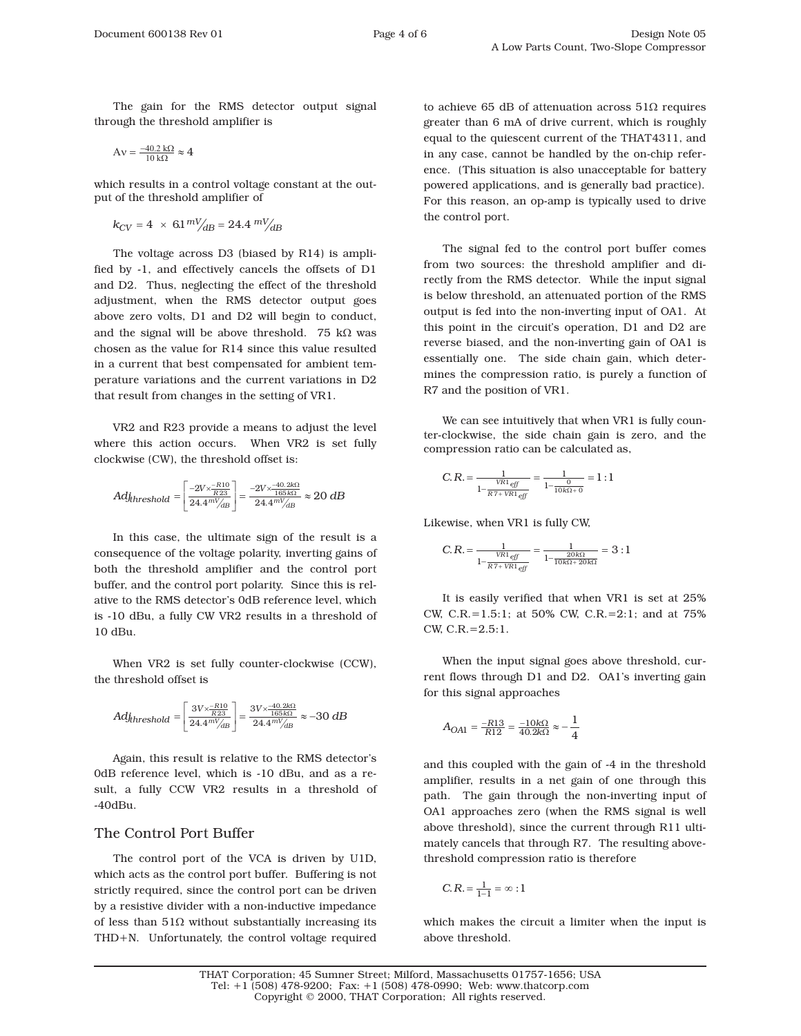The gain for the RMS detector output signal through the threshold amplifier is

$$
A\nu=\tfrac{-40.2\ k\Omega}{10\ k\Omega}\approx 4
$$

which results in a control voltage constant at the output of the threshold amplifier of

 $k_{CV} = 4 \times 6.1 \frac{mV}{dB} = 24.4 \frac{mV}{AB}$ 

The voltage across D3 (biased by R14) is amplified by -1, and effectively cancels the offsets of D1 and D2. Thus, neglecting the effect of the threshold adjustment, when the RMS detector output goes above zero volts, D1 and D2 will begin to conduct, and the signal will be above threshold. 75  $k\Omega$  was chosen as the value for R14 since this value resulted in a current that best compensated for ambient temperature variations and the current variations in D2 that result from changes in the setting of VR1.

VR2 and R23 provide a means to adjust the level where this action occurs. When VR2 is set fully clockwise (CW), the threshold offset is:

$$
Adj_{threshold} = \left[\frac{-2V \times \frac{-R10}{R23}}{24.4^{m} \text{V}_{dB}}\right] = \frac{-2V \times \frac{-40.2 k\Omega}{165 k\Omega}}{24.4^{m} \text{V}_{dB}} \approx 20 \text{ dB}
$$

In this case, the ultimate sign of the result is a consequence of the voltage polarity, inverting gains of both the threshold amplifier and the control port buffer, and the control port polarity. Since this is relative to the RMS detector's 0dB reference level, which is -10 dBu, a fully CW VR2 results in a threshold of 10 dBu.

When VR2 is set fully counter-clockwise (CCW), the threshold offset is

$$
Adj_{threshold} = \left[\frac{3V \times \frac{-R10}{R23}}{24.4^{m} / /_{dB}}\right] = \frac{3V \times \frac{-40.2 k\Omega}{165 k\Omega}}{24.4^{m} / /_{dB}} \approx -30 dB
$$

Again, this result is relative to the RMS detector's 0dB reference level, which is -10 dBu, and as a result, a fully CCW VR2 results in a threshold of -40dBu.

## The Control Port Buffer

The control port of the VCA is driven by U1D, which acts as the control port buffer. Buffering is not strictly required, since the control port can be driven by a resistive divider with a non-inductive impedance of less than  $51\Omega$  without substantially increasing its THD+N. Unfortunately, the control voltage required to achieve 65 dB of attenuation across  $51\Omega$  requires greater than 6 mA of drive current, which is roughly equal to the quiescent current of the THAT4311, and in any case, cannot be handled by the on-chip reference. (This situation is also unacceptable for battery powered applications, and is generally bad practice). For this reason, an op-amp is typically used to drive the control port.

The signal fed to the control port buffer comes from two sources: the threshold amplifier and directly from the RMS detector. While the input signal is below threshold, an attenuated portion of the RMS output is fed into the non-inverting input of OA1. At this point in the circuit's operation, D1 and D2 are reverse biased, and the non-inverting gain of OA1 is essentially one. The side chain gain, which determines the compression ratio, is purely a function of R7 and the position of VR1.

We can see intuitively that when VR1 is fully counter-clockwise, the side chain gain is zero, and the compression ratio can be calculated as,

$$
C.R. = \frac{1}{\frac{VR1_{eff}}{1 - \frac{Q}{RT + VR1_{eff}}}} = \frac{1}{1 - \frac{0}{10k\Omega + 0}} = 1:1
$$

Likewise, when VR1 is fully CW,

$$
C.R. = \frac{1}{1 - \frac{VR1_{eff}}{RT + VR1_{eff}}} = \frac{1}{1 - \frac{20k\Omega}{10k\Omega + 20k\Omega}} = 3:1
$$

It is easily verified that when VR1 is set at 25% CW, C.R.=1.5:1; at 50% CW, C.R.=2:1; and at 75% CW, C.R.=2.5:1.

When the input signal goes above threshold, current flows through D1 and D2. OA1's inverting gain for this signal approaches

$$
A_{OA1}=\frac{-R13}{R12}=\frac{-10k\Omega}{40.2k\Omega}\approx-\frac{1}{4}
$$

and this coupled with the gain of -4 in the threshold amplifier, results in a net gain of one through this path. The gain through the non-inverting input of OA1 approaches zero (when the RMS signal is well above threshold), since the current through R11 ultimately cancels that through R7. The resulting abovethreshold compression ratio is therefore

$$
C.R.=\tfrac{1}{1-1}=\infty:1
$$

which makes the circuit a limiter when the input is above threshold.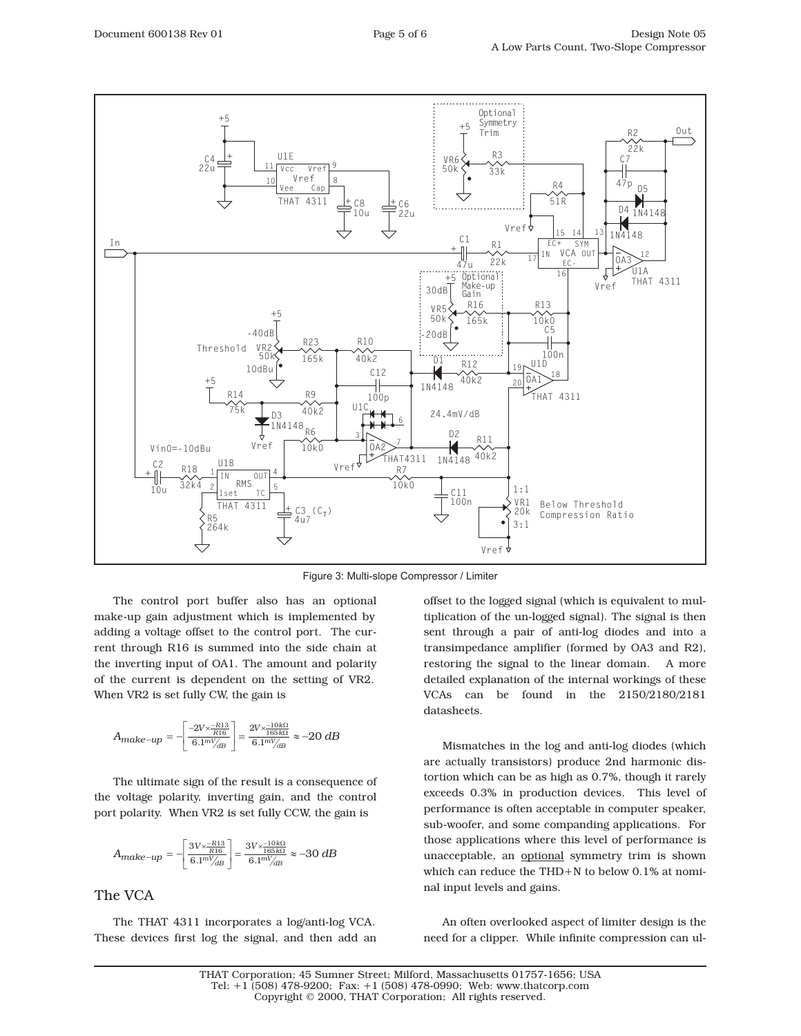

Figure 3: Multi-slope Compressor / Limiter

The control port buffer also has an optional make-up gain adjustment which is implemented by adding a voltage offset to the control port. The current through R16 is summed into the side chain at the inverting input of OA1. The amount and polarity of the current is dependent on the setting of VR2. When VR2 is set fully CW, the gain is

$$
A_{make-up} = -\left[\frac{-2 V \times \frac{-R13}{R16}}{6.1^{m}V_{AB}}\right] = \frac{2 V \times \frac{-10 k \Omega}{165 k \Omega}}{6.1^{m}V_{AB}} \approx -20 \ dB
$$

The ultimate sign of the result is a consequence of the voltage polarity, inverting gain, and the control port polarity. When VR2 is set fully CCW, the gain is

$$
A_{make-up} = -\left[\frac{3V \times \frac{-R13}{R16}}{6.1^{m}V_{dB}}\right] = \frac{3V \times \frac{-10k\Omega}{165k\Omega}}{6.1^{m}V_{dB}} \approx -30 dB
$$

### The VCA

The THAT 4311 incorporates a log/anti-log VCA. These devices first log the signal, and then add an offset to the logged signal (which is equivalent to multiplication of the un-logged signal). The signal is then sent through a pair of anti-log diodes and into a transimpedance amplifier (formed by OA3 and R2), restoring the signal to the linear domain. A more detailed explanation of the internal workings of these VCAs can be found in the 2150/2180/2181 datasheets.

Mismatches in the log and anti-log diodes (which are actually transistors) produce 2nd harmonic distortion which can be as high as 0.7%, though it rarely exceeds 0.3% in production devices. This level of performance is often acceptable in computer speaker, sub-woofer, and some companding applications. For those applications where this level of performance is unacceptable, an optional symmetry trim is shown which can reduce the THD+N to below 0.1% at nominal input levels and gains.

An often overlooked aspect of limiter design is the need for a clipper. While infinite compression can ul